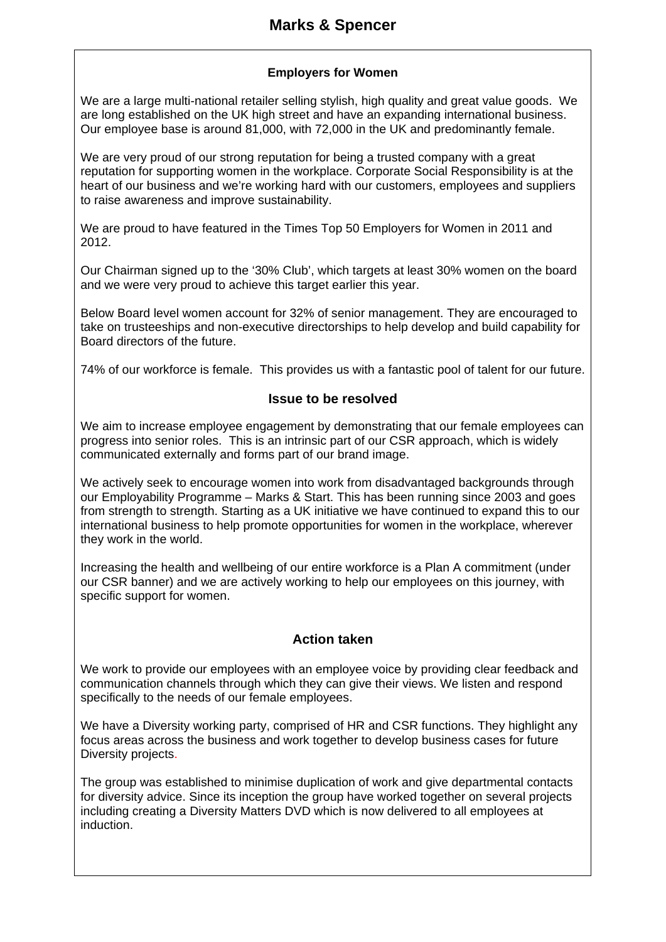# **Marks & Spencer**

## **Employers for Women**

We are a large multi-national retailer selling stylish, high quality and great value goods. We are long established on the UK high street and have an expanding international business. Our employee base is around 81,000, with 72,000 in the UK and predominantly female.

We are very proud of our strong reputation for being a trusted company with a great reputation for supporting women in the workplace. Corporate Social Responsibility is at the heart of our business and we're working hard with our customers, employees and suppliers to raise awareness and improve sustainability.

We are proud to have featured in the Times Top 50 Employers for Women in 2011 and 2012.

Our Chairman signed up to the '30% Club', which targets at least 30% women on the board and we were very proud to achieve this target earlier this year.

Below Board level women account for 32% of senior management. They are encouraged to take on trusteeships and non-executive directorships to help develop and build capability for Board directors of the future.

74% of our workforce is female. This provides us with a fantastic pool of talent for our future.

#### **Issue to be resolved**

We aim to increase employee engagement by demonstrating that our female employees can progress into senior roles. This is an intrinsic part of our CSR approach, which is widely communicated externally and forms part of our brand image.

We actively seek to encourage women into work from disadvantaged backgrounds through our Employability Programme – Marks & Start. This has been running since 2003 and goes from strength to strength. Starting as a UK initiative we have continued to expand this to our international business to help promote opportunities for women in the workplace, wherever they work in the world.

Increasing the health and wellbeing of our entire workforce is a Plan A commitment (under our CSR banner) and we are actively working to help our employees on this journey, with specific support for women.

## **Action taken**

We work to provide our employees with an employee voice by providing clear feedback and communication channels through which they can give their views. We listen and respond specifically to the needs of our female employees.

We have a Diversity working party, comprised of HR and CSR functions. They highlight any focus areas across the business and work together to develop business cases for future Diversity projects.

The group was established to minimise duplication of work and give departmental contacts for diversity advice. Since its inception the group have worked together on several projects including creating a Diversity Matters DVD which is now delivered to all employees at induction.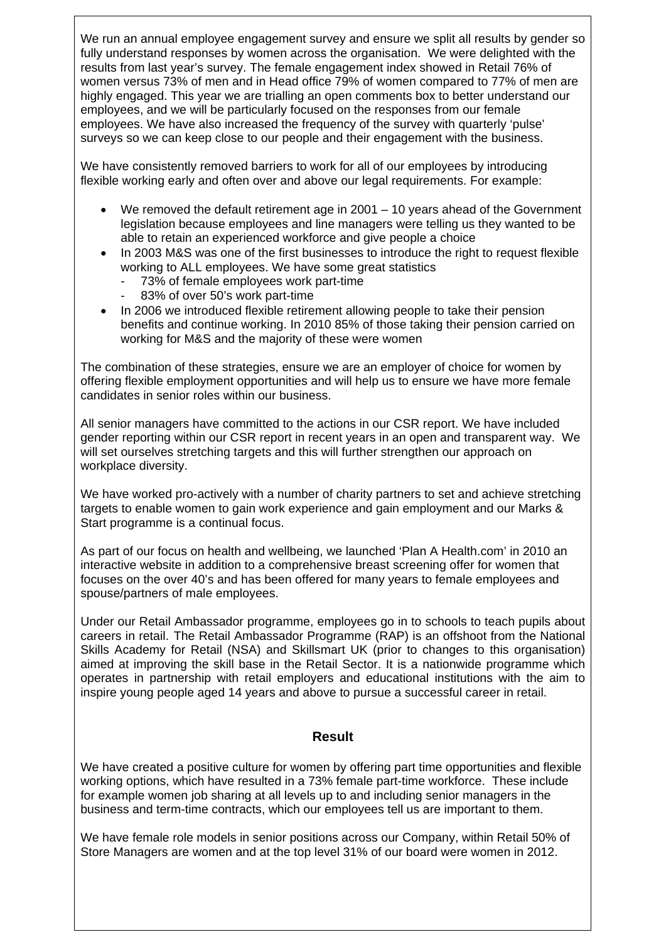We run an annual employee engagement survey and ensure we split all results by gender so fully understand responses by women across the organisation. We were delighted with the results from last year's survey. The female engagement index showed in Retail 76% of women versus 73% of men and in Head office 79% of women compared to 77% of men are highly engaged. This year we are trialling an open comments box to better understand our employees, and we will be particularly focused on the responses from our female employees. We have also increased the frequency of the survey with quarterly 'pulse' surveys so we can keep close to our people and their engagement with the business.

We have consistently removed barriers to work for all of our employees by introducing flexible working early and often over and above our legal requirements. For example:

- We removed the default retirement age in 2001 10 years ahead of the Government legislation because employees and line managers were telling us they wanted to be able to retain an experienced workforce and give people a choice
- In 2003 M&S was one of the first businesses to introduce the right to request flexible working to ALL employees. We have some great statistics
	- 73% of female employees work part-time
	- 83% of over 50's work part-time
- In 2006 we introduced flexible retirement allowing people to take their pension benefits and continue working. In 2010 85% of those taking their pension carried on working for M&S and the majority of these were women

The combination of these strategies, ensure we are an employer of choice for women by offering flexible employment opportunities and will help us to ensure we have more female candidates in senior roles within our business.

All senior managers have committed to the actions in our CSR report. We have included gender reporting within our CSR report in recent years in an open and transparent way. We will set ourselves stretching targets and this will further strengthen our approach on workplace diversity.

We have worked pro-actively with a number of charity partners to set and achieve stretching targets to enable women to gain work experience and gain employment and our Marks & Start programme is a continual focus.

As part of our focus on health and wellbeing, we launched 'Plan A Health.com' in 2010 an interactive website in addition to a comprehensive breast screening offer for women that focuses on the over 40's and has been offered for many years to female employees and spouse/partners of male employees.

Under our Retail Ambassador programme, employees go in to schools to teach pupils about careers in retail. The Retail Ambassador Programme (RAP) is an offshoot from the National Skills Academy for Retail (NSA) and Skillsmart UK (prior to changes to this organisation) aimed at improving the skill base in the Retail Sector. It is a nationwide programme which operates in partnership with retail employers and educational institutions with the aim to inspire young people aged 14 years and above to pursue a successful career in retail.

## **Result**

We have created a positive culture for women by offering part time opportunities and flexible working options, which have resulted in a 73% female part-time workforce. These include for example women job sharing at all levels up to and including senior managers in the business and term-time contracts, which our employees tell us are important to them.

We have female role models in senior positions across our Company, within Retail 50% of Store Managers are women and at the top level 31% of our board were women in 2012.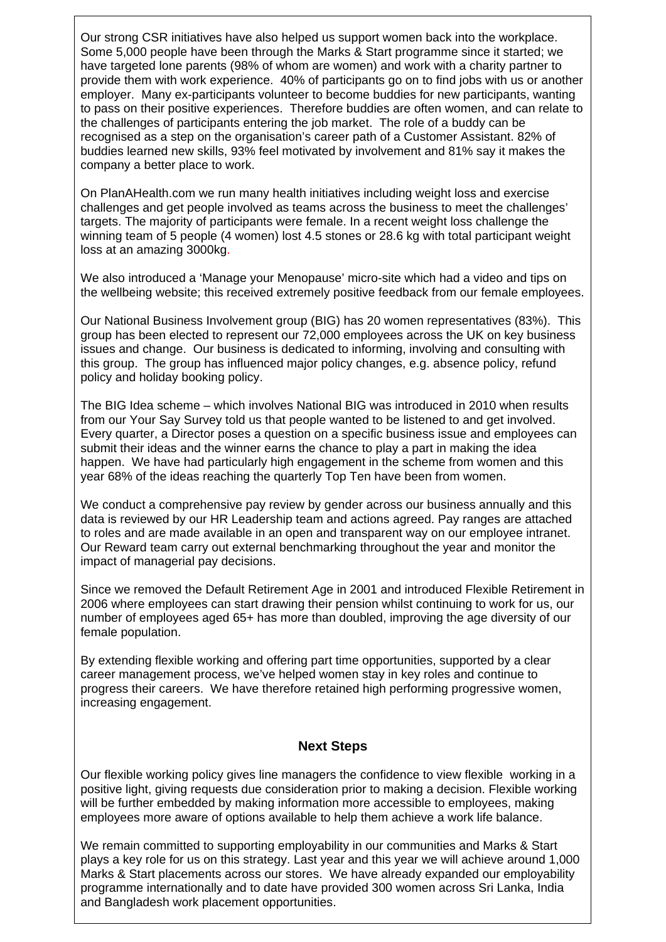Our strong CSR initiatives have also helped us support women back into the workplace. Some 5,000 people have been through the Marks & Start programme since it started; we have targeted lone parents (98% of whom are women) and work with a charity partner to provide them with work experience. 40% of participants go on to find jobs with us or another employer. Many ex-participants volunteer to become buddies for new participants, wanting to pass on their positive experiences. Therefore buddies are often women, and can relate to the challenges of participants entering the job market. The role of a buddy can be recognised as a step on the organisation's career path of a Customer Assistant. 82% of buddies learned new skills, 93% feel motivated by involvement and 81% say it makes the company a better place to work.

On PlanAHealth.com we run many health initiatives including weight loss and exercise challenges and get people involved as teams across the business to meet the challenges' targets. The majority of participants were female. In a recent weight loss challenge the winning team of 5 people (4 women) lost 4.5 stones or 28.6 kg with total participant weight loss at an amazing 3000kg.

We also introduced a 'Manage your Menopause' micro-site which had a video and tips on the wellbeing website; this received extremely positive feedback from our female employees.

Our National Business Involvement group (BIG) has 20 women representatives (83%). This group has been elected to represent our 72,000 employees across the UK on key business issues and change. Our business is dedicated to informing, involving and consulting with this group. The group has influenced major policy changes, e.g. absence policy, refund policy and holiday booking policy.

The BIG Idea scheme – which involves National BIG was introduced in 2010 when results from our Your Say Survey told us that people wanted to be listened to and get involved. Every quarter, a Director poses a question on a specific business issue and employees can submit their ideas and the winner earns the chance to play a part in making the idea happen. We have had particularly high engagement in the scheme from women and this year 68% of the ideas reaching the quarterly Top Ten have been from women.

We conduct a comprehensive pay review by gender across our business annually and this data is reviewed by our HR Leadership team and actions agreed. Pay ranges are attached to roles and are made available in an open and transparent way on our employee intranet. Our Reward team carry out external benchmarking throughout the year and monitor the impact of managerial pay decisions.

Since we removed the Default Retirement Age in 2001 and introduced Flexible Retirement in 2006 where employees can start drawing their pension whilst continuing to work for us, our number of employees aged 65+ has more than doubled, improving the age diversity of our female population.

By extending flexible working and offering part time opportunities, supported by a clear career management process, we've helped women stay in key roles and continue to progress their careers. We have therefore retained high performing progressive women, increasing engagement.

## **Next Steps**

Our flexible working policy gives line managers the confidence to view flexible working in a positive light, giving requests due consideration prior to making a decision. Flexible working will be further embedded by making information more accessible to employees, making employees more aware of options available to help them achieve a work life balance.

We remain committed to supporting employability in our communities and Marks & Start plays a key role for us on this strategy. Last year and this year we will achieve around 1,000 Marks & Start placements across our stores. We have already expanded our employability programme internationally and to date have provided 300 women across Sri Lanka, India and Bangladesh work placement opportunities.